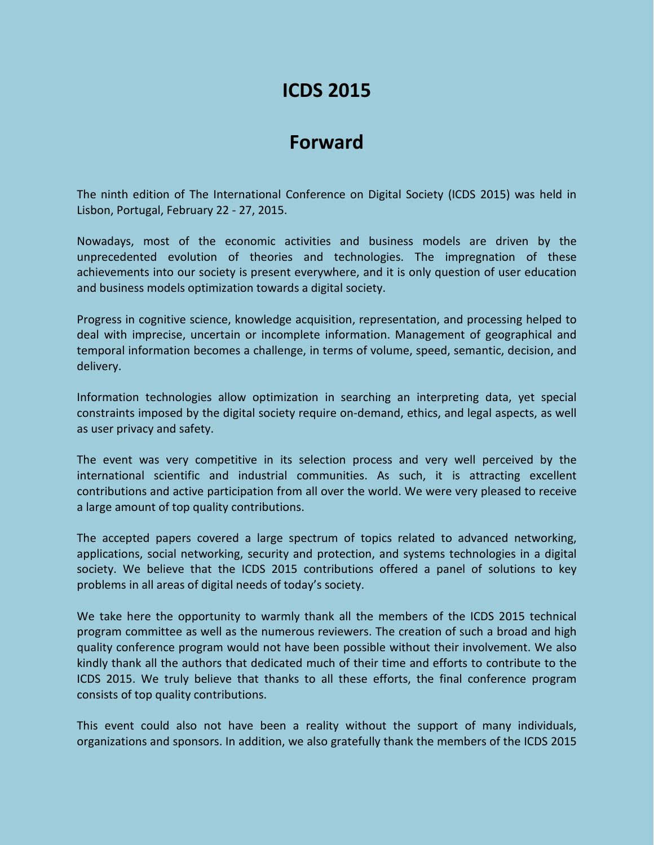## **ICDS 2015**

## **Forward**

The ninth edition of The International Conference on Digital Society (ICDS 2015) was held in Lisbon, Portugal, February 22 - 27, 2015.

Nowadays, most of the economic activities and business models are driven by the unprecedented evolution of theories and technologies. The impregnation of these achievements into our society is present everywhere, and it is only question of user education and business models optimization towards a digital society.

Progress in cognitive science, knowledge acquisition, representation, and processing helped to deal with imprecise, uncertain or incomplete information. Management of geographical and temporal information becomes a challenge, in terms of volume, speed, semantic, decision, and delivery.

Information technologies allow optimization in searching an interpreting data, yet special constraints imposed by the digital society require on-demand, ethics, and legal aspects, as well as user privacy and safety.

The event was very competitive in its selection process and very well perceived by the international scientific and industrial communities. As such, it is attracting excellent contributions and active participation from all over the world. We were very pleased to receive a large amount of top quality contributions.

The accepted papers covered a large spectrum of topics related to advanced networking, applications, social networking, security and protection, and systems technologies in a digital society. We believe that the ICDS 2015 contributions offered a panel of solutions to key problems in all areas of digital needs of today's society.

We take here the opportunity to warmly thank all the members of the ICDS 2015 technical program committee as well as the numerous reviewers. The creation of such a broad and high quality conference program would not have been possible without their involvement. We also kindly thank all the authors that dedicated much of their time and efforts to contribute to the ICDS 2015. We truly believe that thanks to all these efforts, the final conference program consists of top quality contributions.

This event could also not have been a reality without the support of many individuals, organizations and sponsors. In addition, we also gratefully thank the members of the ICDS 2015